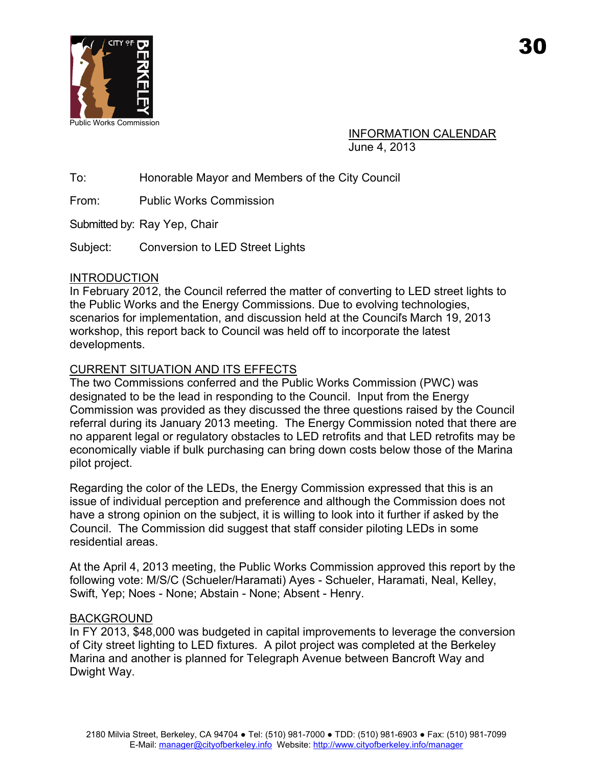

INFORMATION CALENDAR June 4, 2013

To: Honorable Mayor and Members of the City Council

From: Public Works Commission

Submitted by: Ray Yep, Chair

Subject: Conversion to LED Street Lights

## INTRODUCTION

In February 2012, the Council referred the matter of converting to LED street lights to the Public Works and the Energy Commissions. Due to evolving technologies, scenarios for implementation, and discussion held at the Council's March 19, 2013 workshop, this report back to Council was held off to incorporate the latest developments.

# CURRENT SITUATION AND ITS EFFECTS

The two Commissions conferred and the Public Works Commission (PWC) was designated to be the lead in responding to the Council. Input from the Energy Commission was provided as they discussed the three questions raised by the Council referral during its January 2013 meeting. The Energy Commission noted that there are no apparent legal or regulatory obstacles to LED retrofits and that LED retrofits may be economically viable if bulk purchasing can bring down costs below those of the Marina pilot project.

Regarding the color of the LEDs, the Energy Commission expressed that this is an issue of individual perception and preference and although the Commission does not have a strong opinion on the subject, it is willing to look into it further if asked by the Council. The Commission did suggest that staff consider piloting LEDs in some residential areas.

At the April 4, 2013 meeting, the Public Works Commission approved this report by the following vote: M/S/C (Schueler/Haramati) Ayes - Schueler, Haramati, Neal, Kelley, Swift, Yep; Noes - None; Abstain - None; Absent - Henry.

## BACKGROUND

In FY 2013, \$48,000 was budgeted in capital improvements to leverage the conversion of City street lighting to LED fixtures. A pilot project was completed at the Berkeley Marina and another is planned for Telegraph Avenue between Bancroft Way and Dwight Way.